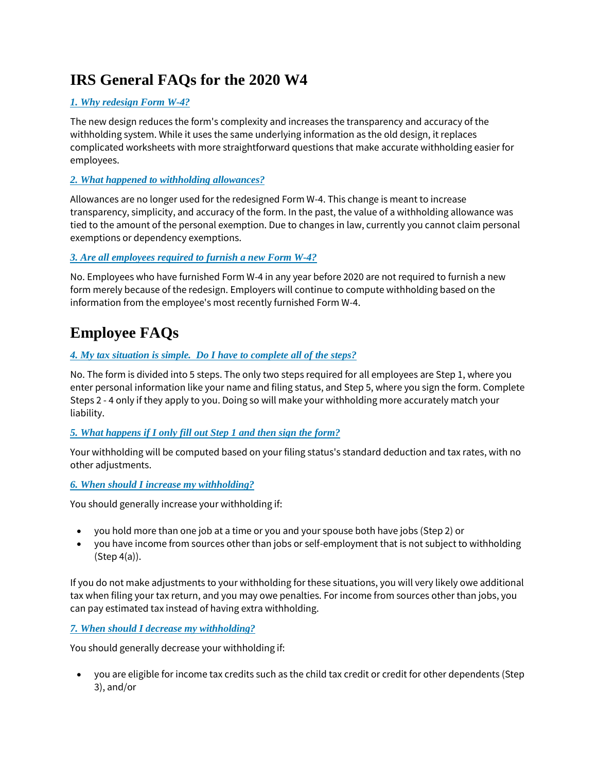# **IRS General FAQs for the 2020 W4**

# *[1. Why redesign Form W-4?](https://www.irs.gov/newsroom/faqs-on-the-2020-form-w-4#collapseCollapsible1576258062124)*

The new design reduces the form's complexity and increases the transparency and accuracy of the withholding system. While it uses the same underlying information as the old design, it replaces complicated worksheets with more straightforward questions that make accurate withholding easier for employees.

## *[2. What happened to withholding allowances?](https://www.irs.gov/newsroom/faqs-on-the-2020-form-w-4#collapseCollapsible1576258062119)*

Allowances are no longer used for the redesigned Form W-4. This change is meant to increase transparency, simplicity, and accuracy of the form. In the past, the value of a withholding allowance was tied to the amount of the personal exemption. Due to changes in law, currently you cannot claim personal exemptions or dependency exemptions.

## *[3. Are all employees required to furnish a new Form W-4?](https://www.irs.gov/newsroom/faqs-on-the-2020-form-w-4#collapseCollapsible1576258062112)*

No. Employees who have furnished Form W-4 in any year before 2020 are not required to furnish a new form merely because of the redesign. Employers will continue to compute withholding based on the information from the employee's most recently furnished Form W-4.

# **Employee FAQs**

# *4. My tax situation is simple. [Do I have to complete all of the steps?](https://www.irs.gov/newsroom/faqs-on-the-2020-form-w-4#collapseCollapsible1576258062104)*

No. The form is divided into 5 steps. The only two steps required for all employees are Step 1, where you enter personal information like your name and filing status, and Step 5, where you sign the form. Complete Steps 2 - 4 only if they apply to you. Doing so will make your withholding more accurately match your liability.

## *[5. What happens if I only fill out Step 1 and then sign the form?](https://www.irs.gov/newsroom/faqs-on-the-2020-form-w-4#collapseCollapsible1576258062099)*

Your withholding will be computed based on your filing status's standard deduction and tax rates, with no other adjustments.

#### *[6. When should I increase my withholding?](https://www.irs.gov/newsroom/faqs-on-the-2020-form-w-4#collapseCollapsible1576258062094)*

You should generally increase your withholding if:

- you hold more than one job at a time or you and your spouse both have jobs (Step 2) or
- you have income from sources other than jobs or self-employment that is not subject to withholding (Step 4(a)).

If you do not make adjustments to your withholding for these situations, you will very likely owe additional tax when filing your tax return, and you may owe penalties. For income from sources other than jobs, you can pay estimated tax instead of having extra withholding.

## *[7. When should I decrease my withholding?](https://www.irs.gov/newsroom/faqs-on-the-2020-form-w-4#collapseCollapsible1576258062090)*

You should generally decrease your withholding if:

• you are eligible for income tax credits such as the child tax credit or credit for other dependents (Step 3), and/or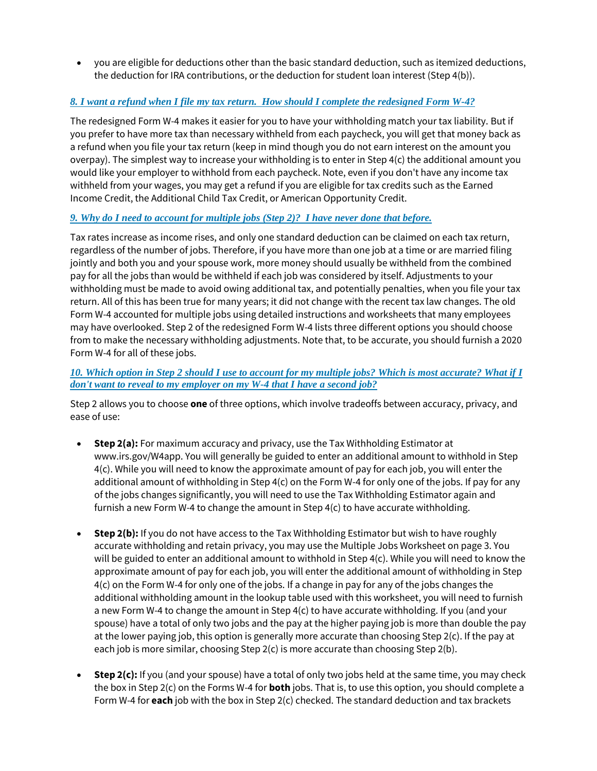• you are eligible for deductions other than the basic standard deduction, such as itemized deductions, the deduction for IRA contributions, or the deduction for student loan interest (Step 4(b)).

# *8. I want a refund when I file my tax return. [How should I complete the redesigned Form W-4?](https://www.irs.gov/newsroom/faqs-on-the-2020-form-w-4#collapseCollapsible1576258062087)*

The redesigned Form W-4 makes it easier for you to have your withholding match your tax liability. But if you prefer to have more tax than necessary withheld from each paycheck, you will get that money back as a refund when you file your tax return (keep in mind though you do not earn interest on the amount you overpay). The simplest way to increase your withholding is to enter in Step 4(c) the additional amount you would like your employer to withhold from each paycheck. Note, even if you don't have any income tax withheld from your wages, you may get a refund if you are eligible for tax credits such as the Earned Income Credit, the Additional Child Tax Credit, or American Opportunity Credit.

#### *[9. Why do I need to account for multiple jobs \(Step 2\)?](https://www.irs.gov/newsroom/faqs-on-the-2020-form-w-4#collapseCollapsible1576258062083) I have never done that before.*

Tax rates increase as income rises, and only one standard deduction can be claimed on each tax return, regardless of the number of jobs. Therefore, if you have more than one job at a time or are married filing jointly and both you and your spouse work, more money should usually be withheld from the combined pay for all the jobs than would be withheld if each job was considered by itself. Adjustments to your withholding must be made to avoid owing additional tax, and potentially penalties, when you file your tax return. All of this has been true for many years; it did not change with the recent tax law changes. The old Form W-4 accounted for multiple jobs using detailed instructions and worksheets that many employees may have overlooked. Step 2 of the redesigned Form W-4 lists three different options you should choose from to make the necessary withholding adjustments. Note that, to be accurate, you should furnish a 2020 Form W-4 for all of these jobs.

#### *[10. Which option in Step 2 should I use to account for my multiple jobs? Which is most accurate? What if I](https://www.irs.gov/newsroom/faqs-on-the-2020-form-w-4#collapseCollapsible1576258062078)  [don't want to reveal to my employer on my W-4 that I have a second job?](https://www.irs.gov/newsroom/faqs-on-the-2020-form-w-4#collapseCollapsible1576258062078)*

Step 2 allows you to choose **one** of three options, which involve tradeoffs between accuracy, privacy, and ease of use:

- **Step 2(a):** For maximum accuracy and privacy, use the Tax Withholding Estimator at www.irs.gov/W4app. You will generally be guided to enter an additional amount to withhold in Step 4(c). While you will need to know the approximate amount of pay for each job, you will enter the additional amount of withholding in Step 4(c) on the Form W-4 for only one of the jobs. If pay for any of the jobs changes significantly, you will need to use the Tax Withholding Estimator again and furnish a new Form W-4 to change the amount in Step 4(c) to have accurate withholding.
- **Step 2(b):** If you do not have access to the Tax Withholding Estimator but wish to have roughly accurate withholding and retain privacy, you may use the Multiple Jobs Worksheet on page 3. You will be guided to enter an additional amount to withhold in Step 4(c). While you will need to know the approximate amount of pay for each job, you will enter the additional amount of withholding in Step 4(c) on the Form W-4 for only one of the jobs. If a change in pay for any of the jobs changes the additional withholding amount in the lookup table used with this worksheet, you will need to furnish a new Form W-4 to change the amount in Step 4(c) to have accurate withholding. If you (and your spouse) have a total of only two jobs and the pay at the higher paying job is more than double the pay at the lower paying job, this option is generally more accurate than choosing Step 2(c). If the pay at each job is more similar, choosing Step 2(c) is more accurate than choosing Step 2(b).
- **Step 2(c):** If you (and your spouse) have a total of only two jobs held at the same time, you may check the box in Step 2(c) on the Forms W-4 for **both** jobs. That is, to use this option, you should complete a Form W-4 for **each** job with the box in Step 2(c) checked. The standard deduction and tax brackets